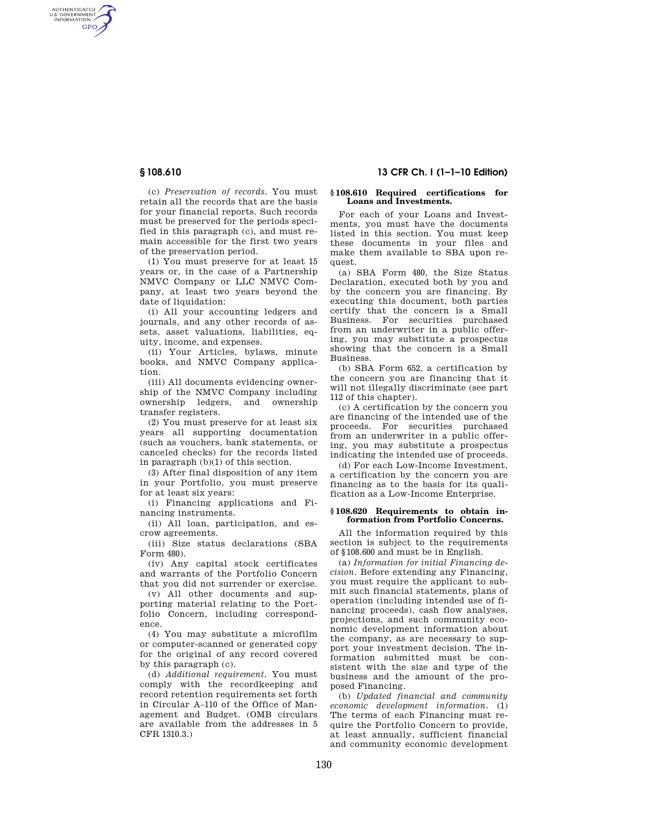AUTHENTICATED<br>U.S. GOVERNMENT<br>INFORMATION **GPO** 

> (c) *Preservation of records.* You must retain all the records that are the basis for your financial reports. Such records must be preserved for the periods specified in this paragraph (c), and must remain accessible for the first two years of the preservation period.

(1) You must preserve for at least 15 years or, in the case of a Partnership NMVC Company or LLC NMVC Company, at least two years beyond the date of liquidation:

(i) All your accounting ledgers and journals, and any other records of assets, asset valuations, liabilities, equity, income, and expenses.

(ii) Your Articles, bylaws, minute books, and NMVC Company application.

(iii) All documents evidencing ownership of the NMVC Company including ownership ledgers, and ownership transfer registers.

(2) You must preserve for at least six years all supporting documentation (such as vouchers, bank statements, or canceled checks) for the records listed in paragraph (b)(1) of this section.

(3) After final disposition of any item in your Portfolio, you must preserve for at least six years:

(i) Financing applications and Financing instruments.

(ii) All loan, participation, and escrow agreements.

(iii) Size status declarations (SBA Form 480).

(iv) Any capital stock certificates and warrants of the Portfolio Concern that you did not surrender or exercise.

(v) All other documents and supporting material relating to the Portfolio Concern, including correspondence.

(4) You may substitute a microfilm or computer-scanned or generated copy for the original of any record covered by this paragraph (c).

(d) *Additional requirement.* You must comply with the recordkeeping and record retention requirements set forth in Circular A–110 of the Office of Management and Budget. (OMB circulars are available from the addresses in 5 CFR 1310.3.)

# **§ 108.610 13 CFR Ch. I (1–1–10 Edition)**

## **§ 108.610 Required certifications for Loans and Investments.**

For each of your Loans and Investments, you must have the documents listed in this section. You must keep these documents in your files and make them available to SBA upon request.

(a) SBA Form 480, the Size Status Declaration, executed both by you and by the concern you are financing. By executing this document, both parties certify that the concern is a Small Business. For securities purchased from an underwriter in a public offering, you may substitute a prospectus showing that the concern is a Small Business.

(b) SBA Form 652, a certification by the concern you are financing that it will not illegally discriminate (see part 112 of this chapter).

(c) A certification by the concern you are financing of the intended use of the proceeds. For securities purchased from an underwriter in a public offering, you may substitute a prospectus indicating the intended use of proceeds.

(d) For each Low-Income Investment, a certification by the concern you are financing as to the basis for its qualification as a Low-Income Enterprise.

### **§ 108.620 Requirements to obtain information from Portfolio Concerns.**

All the information required by this section is subject to the requirements of §108.600 and must be in English.

(a) *Information for initial Financing decision.* Before extending any Financing, you must require the applicant to submit such financial statements, plans of operation (including intended use of financing proceeds), cash flow analyses, projections, and such community economic development information about the company, as are necessary to support your investment decision. The information submitted must be consistent with the size and type of the business and the amount of the proposed Financing.

(b) *Updated financial and community economic development information.* (1) The terms of each Financing must require the Portfolio Concern to provide, at least annually, sufficient financial and community economic development